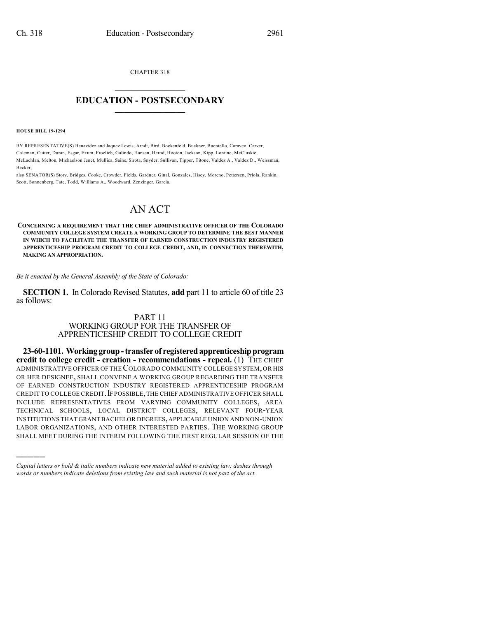CHAPTER 318  $\overline{\phantom{a}}$  . The set of the set of the set of the set of the set of the set of the set of the set of the set of the set of the set of the set of the set of the set of the set of the set of the set of the set of the set o

## **EDUCATION - POSTSECONDARY**  $\_$   $\_$   $\_$   $\_$   $\_$   $\_$   $\_$   $\_$   $\_$

## **HOUSE BILL 19-1294**

)))))

BY REPRESENTATIVE(S) Benavidez and Jaquez Lewis, Arndt, Bird, Bockenfeld, Buckner, Buentello, Caraveo, Carver, Coleman, Cutter, Duran, Esgar, Exum, Froelich, Galindo, Hansen, Herod, Hooton, Jackson, Kipp, Lontine, McCluskie, McLachlan, Melton, Michaelson Jenet, Mullica, Saine, Sirota, Snyder, Sullivan, Tipper, Titone, Valdez A., Valdez D., Weissman, Becker;

also SENATOR(S) Story, Bridges, Cooke, Crowder, Fields, Gardner, Ginal, Gonzales, Hisey, Moreno, Pettersen, Priola, Rankin, Scott, Sonnenberg, Tate, Todd, Williams A., Woodward, Zenzinger, Garcia.

## AN ACT

**CONCERNING A REQUIREMENT THAT THE CHIEF ADMINISTRATIVE OFFICER OF THE COLORADO COMMUNITY COLLEGE SYSTEM CREATE A WORKING GROUP TO DETERMINE THE BEST MANNER IN WHICH TO FACILITATE THE TRANSFER OF EARNED CONSTRUCTION INDUSTRY REGISTERED APPRENTICESHIP PROGRAM CREDIT TO COLLEGE CREDIT, AND, IN CONNECTION THEREWITH, MAKING AN APPROPRIATION.**

*Be it enacted by the General Assembly of the State of Colorado:*

**SECTION 1.** In Colorado Revised Statutes, **add** part 11 to article 60 of title 23 as follows:

## PART 11 WORKING GROUP FOR THE TRANSFER OF

APPRENTICESHIP CREDIT TO COLLEGE CREDIT **23-60-1101. Workinggroup-transfer of registeredapprenticeshipprogram**

**credit to college credit - creation - recommendations - repeal.** (1) THE CHIEF ADMINISTRATIVE OFFICER OFTHECOLORADO COMMUNITY COLLEGE SYSTEM,OR HIS OR HER DESIGNEE, SHALL CONVENE A WORKING GROUP REGARDING THE TRANSFER OF EARNED CONSTRUCTION INDUSTRY REGISTERED APPRENTICESHIP PROGRAM CREDIT TO COLLEGE CREDIT. IF POSSIBLE, THE CHIEF ADMINISTRATIVE OFFICER SHALL INCLUDE REPRESENTATIVES FROM VARYING COMMUNITY COLLEGES, AREA TECHNICAL SCHOOLS, LOCAL DISTRICT COLLEGES, RELEVANT FOUR-YEAR INSTITUTIONS THAT GRANT BACHELOR DEGREES,APPLICABLE UNION AND NON-UNION LABOR ORGANIZATIONS, AND OTHER INTERESTED PARTIES. THE WORKING GROUP SHALL MEET DURING THE INTERIM FOLLOWING THE FIRST REGULAR SESSION OF THE

*Capital letters or bold & italic numbers indicate new material added to existing law; dashes through words or numbers indicate deletions from existing law and such material is not part of the act.*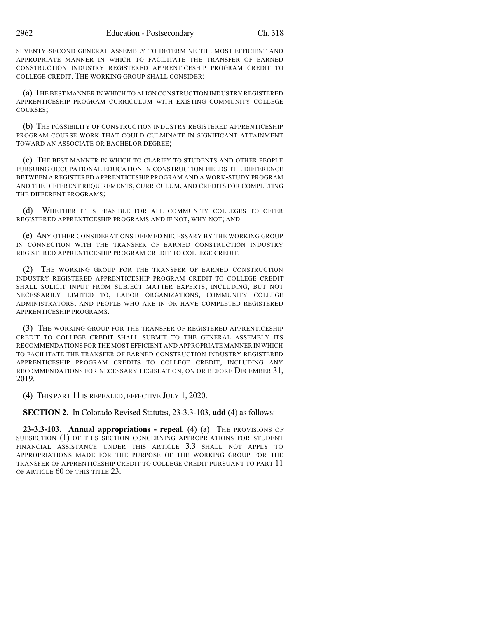SEVENTY-SECOND GENERAL ASSEMBLY TO DETERMINE THE MOST EFFICIENT AND APPROPRIATE MANNER IN WHICH TO FACILITATE THE TRANSFER OF EARNED CONSTRUCTION INDUSTRY REGISTERED APPRENTICESHIP PROGRAM CREDIT TO COLLEGE CREDIT. THE WORKING GROUP SHALL CONSIDER:

(a) THE BEST MANNER IN WHICH TO ALIGN CONSTRUCTION INDUSTRY REGISTERED APPRENTICESHIP PROGRAM CURRICULUM WITH EXISTING COMMUNITY COLLEGE COURSES;

(b) THE POSSIBILITY OF CONSTRUCTION INDUSTRY REGISTERED APPRENTICESHIP PROGRAM COURSE WORK THAT COULD CULMINATE IN SIGNIFICANT ATTAINMENT TOWARD AN ASSOCIATE OR BACHELOR DEGREE;

(c) THE BEST MANNER IN WHICH TO CLARIFY TO STUDENTS AND OTHER PEOPLE PURSUING OCCUPATIONAL EDUCATION IN CONSTRUCTION FIELDS THE DIFFERENCE BETWEEN A REGISTERED APPRENTICESHIP PROGRAM AND A WORK-STUDY PROGRAM AND THE DIFFERENT REQUIREMENTS, CURRICULUM, AND CREDITS FOR COMPLETING THE DIFFERENT PROGRAMS;

(d) WHETHER IT IS FEASIBLE FOR ALL COMMUNITY COLLEGES TO OFFER REGISTERED APPRENTICESHIP PROGRAMS AND IF NOT, WHY NOT; AND

(e) ANY OTHER CONSIDERATIONS DEEMED NECESSARY BY THE WORKING GROUP IN CONNECTION WITH THE TRANSFER OF EARNED CONSTRUCTION INDUSTRY REGISTERED APPRENTICESHIP PROGRAM CREDIT TO COLLEGE CREDIT.

(2) THE WORKING GROUP FOR THE TRANSFER OF EARNED CONSTRUCTION INDUSTRY REGISTERED APPRENTICESHIP PROGRAM CREDIT TO COLLEGE CREDIT SHALL SOLICIT INPUT FROM SUBJECT MATTER EXPERTS, INCLUDING, BUT NOT NECESSARILY LIMITED TO, LABOR ORGANIZATIONS, COMMUNITY COLLEGE ADMINISTRATORS, AND PEOPLE WHO ARE IN OR HAVE COMPLETED REGISTERED APPRENTICESHIP PROGRAMS.

(3) THE WORKING GROUP FOR THE TRANSFER OF REGISTERED APPRENTICESHIP CREDIT TO COLLEGE CREDIT SHALL SUBMIT TO THE GENERAL ASSEMBLY ITS RECOMMENDATIONS FOR THE MOST EFFICIENT AND APPROPRIATE MANNER IN WHICH TO FACILITATE THE TRANSFER OF EARNED CONSTRUCTION INDUSTRY REGISTERED APPRENTICESHIP PROGRAM CREDITS TO COLLEGE CREDIT, INCLUDING ANY RECOMMENDATIONS FOR NECESSARY LEGISLATION, ON OR BEFORE DECEMBER 31, 2019.

(4) THIS PART 11 IS REPEALED, EFFECTIVE JULY 1, 2020.

**SECTION 2.** In Colorado Revised Statutes, 23-3.3-103, **add** (4) as follows:

**23-3.3-103. Annual appropriations - repeal.** (4) (a) THE PROVISIONS OF SUBSECTION (1) OF THIS SECTION CONCERNING APPROPRIATIONS FOR STUDENT FINANCIAL ASSISTANCE UNDER THIS ARTICLE 3.3 SHALL NOT APPLY TO APPROPRIATIONS MADE FOR THE PURPOSE OF THE WORKING GROUP FOR THE TRANSFER OF APPRENTICESHIP CREDIT TO COLLEGE CREDIT PURSUANT TO PART 11 OF ARTICLE 60 OF THIS TITLE 23.